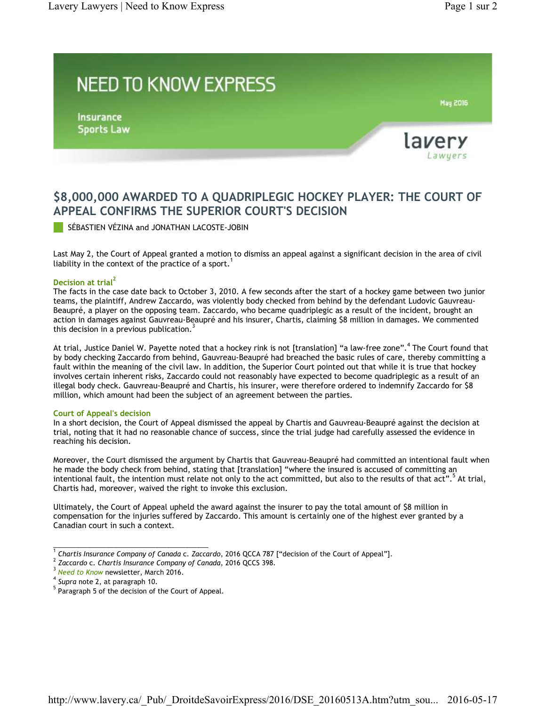## **NEED TO KNOW EXPRESS**

**Insurance Sports Law** 



**May 2016** 

## **\$8,000,000 AWARDED TO A QUADRIPLEGIC HOCKEY PLAYER: THE COURT OF APPEAL CONFIRMS THE SUPERIOR COURT'S DECISION**

SÉBASTIEN VÉZINA and JONATHAN LACOSTE-JOBIN

Last May 2, the Court of Appeal granted a motion to dismiss an appeal against a significant decision in the area of civil liability in the context of the practice of a sport. 1

## **Decision at trial 2**

The facts in the case date back to October 3, 2010. A few seconds after the start of a hockey game between two junior teams, the plaintiff, Andrew Zaccardo, was violently body checked from behind by the defendant Ludovic Gauvreau-Beaupré, a player on the opposing team. Zaccardo, who became quadriplegic as a result of the incident, brought an action in damages against Gauvreau-Beaupré and his insurer, Chartis, claiming \$8 million in damages. We commented<br>this desisies in a provisue publisation <sup>3</sup> this decision in a previous publication.

At trial, Justice Daniel W. Payette noted that a hockey rink is not [translation] "a law-free zone".<sup>4</sup> The Court found that by body checking Zaccardo from behind, Gauvreau-Beaupré had breached the basic rules of care, thereby committing a fault within the meaning of the civil law. In addition, the Superior Court pointed out that while it is true that hockey involves certain inherent risks, Zaccardo could not reasonably have expected to become quadriplegic as a result of an illegal body check. Gauvreau-Beaupré and Chartis, his insurer, were therefore ordered to indemnify Zaccardo for \$8 million, which amount had been the subject of an agreement between the parties.

## **Court of Appeal's decision**

In a short decision, the Court of Appeal dismissed the appeal by Chartis and Gauvreau-Beaupré against the decision at trial, noting that it had no reasonable chance of success, since the trial judge had carefully assessed the evidence in reaching his decision.

Moreover, the Court dismissed the argument by Chartis that Gauvreau-Beaupré had committed an intentional fault when he made the body check from behind, stating that [translation] "where the insured is accused of committing an intentional fault, the intention must relate not only to the act committed, but also to the results of that act".<sup>5</sup> At trial, Chartis had, moreover, waived the right to invoke this exclusion.

Ultimately, the Court of Appeal upheld the award against the insurer to pay the total amount of \$8 million in compensation for the injuries suffered by Zaccardo. This amount is certainly one of the highest ever granted by a Canadian court in such a context.

\_\_\_\_\_\_\_\_\_\_\_\_\_\_\_\_\_\_\_\_\_\_\_\_\_\_\_\_\_\_\_\_\_\_\_\_\_\_\_\_\_

*Chartis Insurance Company of Canada* c. *Zaccardo*, 2016 QCCA 787 ["decision of the Court of Appeal"]. 1

<sup>&</sup>lt;sup>2</sup> Zaccardo c. Chartis Insurance Company of Canada, 2016 QCCS 398.

<sup>&</sup>lt;sup>3</sup> Need to Know newsletter, March 2016.

<sup>&</sup>lt;sup>4</sup> Supra note 2, at paragraph 10.

 $5$  Paragraph 5 of the decision of the Court of Appeal.